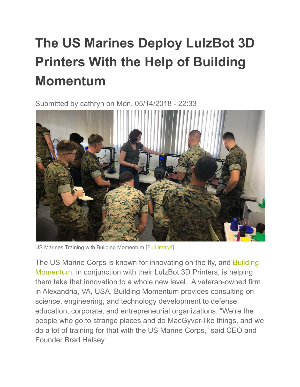## **The US Marines Deploy LulzBot 3D Printers With the Help of Building Momentum**

Submitted by cathryn on Mon, 05/14/2018 - 22:33



US Marines Training with Building Momentum [Full [Image\]](https://www.lulzbot.com/sites/default/files/Training1.jpg)

The US Marine Corps is known for innovating on the fly, and [Building](https://buildingmomentum.us/) [Momentum](https://buildingmomentum.us/), in conjunction with their LulzBot 3D Printers, is helping them take that innovation to a whole new level. A veteran-owned firm in Alexandria, VA, USA, Building Momentum provides consulting on science, engineering, and technology development to defense, education, corporate, and entrepreneurial organizations. "We're the people who go to strange places and do MacGyver-like things, and we do a lot of training for that with the US Marine Corps," said CEO and Founder Brad Halsey.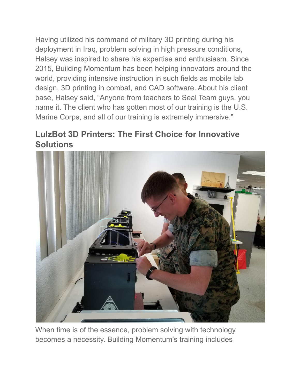Having utilized his command of military 3D printing during his deployment in Iraq, problem solving in high pressure conditions, Halsey was inspired to share his expertise and enthusiasm. Since 2015, Building Momentum has been helping innovators around the world, providing intensive instruction in such fields as mobile lab design, 3D printing in combat, and CAD software. About his client base, Halsey said, "Anyone from teachers to Seal Team guys, you name it. The client who has gotten most of our training is the U.S. Marine Corps, and all of our training is extremely immersive."

## **LulzBot 3D Printers: The First Choice for Innovative Solutions**



When time is of the essence, problem solving with technology becomes a necessity. Building Momentum's training includes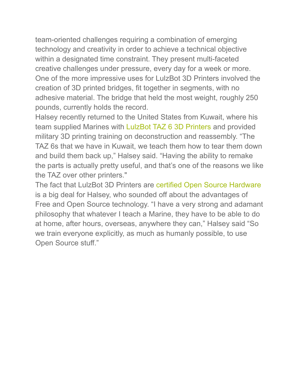team-oriented challenges requiring a combination of emerging technology and creativity in order to achieve a technical objective within a designated time constraint. They present multi-faceted creative challenges under pressure, every day for a week or more. One of the more impressive uses for LulzBot 3D Printers involved the creation of 3D printed bridges, fit together in segments, with no adhesive material. The bridge that held the most weight, roughly 250 pounds, currently holds the record.

Halsey recently returned to the United States from Kuwait, where his team supplied Marines with [LulzBot TAZ 6 3D Printers](https://www.lulzbot.com/store/printers/lulzbot-taz-6) and provided military 3D printing training on deconstruction and reassembly. "The TAZ 6s that we have in Kuwait, we teach them how to tear them down and build them back up," Halsey said. "Having the ability to remake the parts is actually pretty useful, and that's one of the reasons we like the TAZ over other printers."

The fact that LulzBot 3D Printers are certified Open [Source Hardware](https://www.oshwa.org/) is a big deal for Halsey, who sounded off about the advantages of Free and Open Source technology. "I have a very strong and adamant philosophy that whatever I teach a Marine, they have to be able to do at home, after hours, overseas, anywhere they can," Halsey said "So we train everyone explicitly, as much as humanly possible, to use Open Source stuff."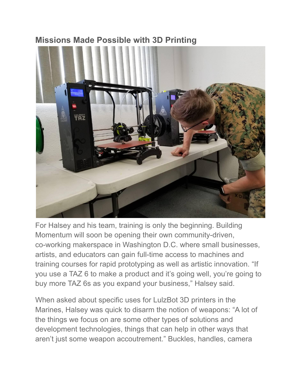## **Missions Made Possible with 3D Printing**



For Halsey and his team, training is only the beginning. Building Momentum will soon be opening their own community-driven, co-working makerspace in Washington D.C. where small businesses, artists, and educators can gain full-time access to machines and training courses for rapid prototyping as well as artistic innovation. "If you use a TAZ 6 to make a product and it's going well, you're going to buy more TAZ 6s as you expand your business," Halsey said.

When asked about specific uses for LulzBot 3D printers in the Marines, Halsey was quick to disarm the notion of weapons: "A lot of the things we focus on are some other types of solutions and development technologies, things that can help in other ways that aren't just some weapon accoutrement." Buckles, handles, camera